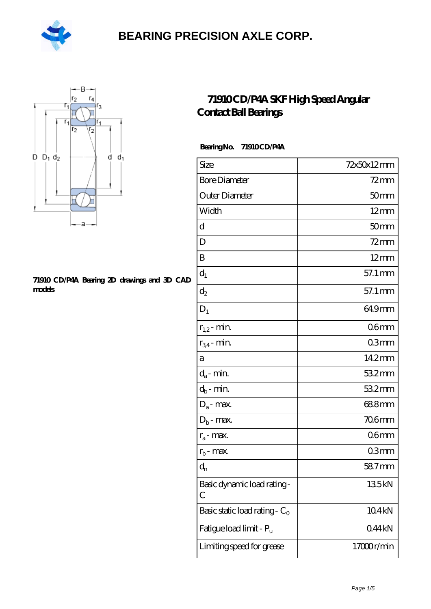



#### **[71910 CD/P4A Bearing 2D drawings and 3D CAD](https://m.hilalanaokulu.com/pic-660647.html) [models](https://m.hilalanaokulu.com/pic-660647.html)**

#### **[71910 CD/P4A SKF High Speed Angular](https://m.hilalanaokulu.com/skf-bearings/71910-cd-p4a.html) [Contact Ball Bearings](https://m.hilalanaokulu.com/skf-bearings/71910-cd-p4a.html)**

 **Bearing No. 71910 CD/P4A**

| Size                             | 72x50x12mm        |
|----------------------------------|-------------------|
| <b>Bore Diameter</b>             | $72$ mm           |
| Outer Diameter                   | 50 <sub>mm</sub>  |
| Width                            | $12 \text{mm}$    |
| $\mathbf d$                      | 50 <sub>mm</sub>  |
| D                                | $72$ mm           |
| B                                | $12 \text{mm}$    |
| $d_1$                            | 57.1 mm           |
| $\mathrm{d}_2$                   | 57.1 mm           |
| $D_1$                            | 64.9mm            |
| $r_{1,2}$ - min.                 | 06 <sub>mm</sub>  |
| $r_{34}$ - min.                  | 03mm              |
| а                                | 14.2mm            |
| $d_a$ - min.                     | 532mm             |
| $d_b$ - min.                     | 532mm             |
| $D_a$ - max.                     | 688mm             |
| $D_b$ - max.                     | <b>706mm</b>      |
| $r_a$ - max.                     | 06 <sub>mm</sub>  |
| $r_{b}$ - max.                   | 03mm              |
| $\mathrm{d}_{\mathrm{n}}$        | 587mm             |
| Basic dynamic load rating-<br>С  | 135kN             |
| Basic static load rating - $C_0$ | 104 <sub>kN</sub> |
| Fatigue load limit - Pu          | 044kN             |
| Limiting speed for grease        | 17000r/min        |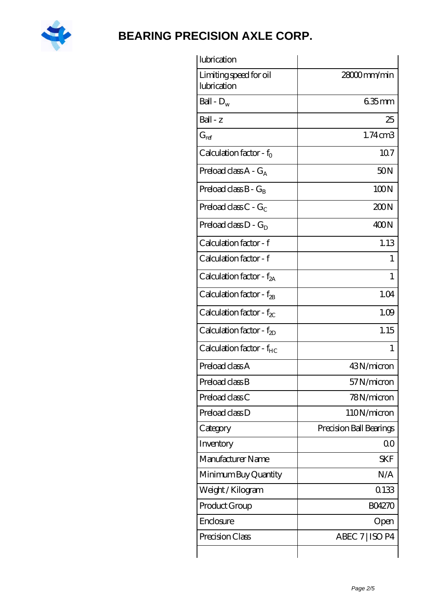

| lubrication                           |                         |
|---------------------------------------|-------------------------|
| Limiting speed for oil<br>lubrication | 28000mm/min             |
| Ball - $D_w$                          | $635$ mm                |
| $Ball - z$                            | 25                      |
| $G_{ref}$                             | $1.74$ cm $3$           |
| Calculation factor - $f_0$            | 107                     |
| Preload class A - G <sub>A</sub>      | 50N                     |
| Preload class $B - G_R$               | 100N                    |
| Preload class $C - G_C$               | 200N                    |
| Preload class $D - G_D$               | 400N                    |
| Calculation factor - f                | 1.13                    |
| Calculation factor - f                | 1                       |
| Calculation factor - f <sub>2A</sub>  | 1                       |
| Calculation factor - $f_{2B}$         | 1.04                    |
| Calculation factor - $f_{\chi}$       | 1.09                    |
| Calculation factor - $f_{2D}$         | 1.15                    |
| Calculation factor - f <sub>HC</sub>  | 1                       |
| Preload class A                       | 43N/micron              |
| Preload class B                       | 57N/micron              |
| Preload class C                       | 78N/micron              |
| Preload class D                       | 110N/micron             |
| Category                              | Precision Ball Bearings |
| Inventory                             | 0 <sup>0</sup>          |
| Manufacturer Name                     | <b>SKF</b>              |
| Minimum Buy Quantity                  | N/A                     |
| Weight / Kilogram                     | 0133                    |
| Product Group                         | <b>BO4270</b>           |
| Enclosure                             | Open                    |
| Precision Class                       | ABEC 7   ISO P4         |
|                                       |                         |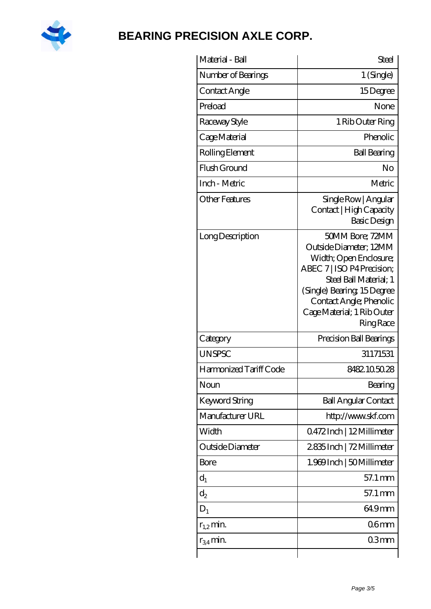

| Material - Ball        | Steel                                                                                                                                                                                                                                 |
|------------------------|---------------------------------------------------------------------------------------------------------------------------------------------------------------------------------------------------------------------------------------|
| Number of Bearings     | $1$ (Single)                                                                                                                                                                                                                          |
| Contact Angle          | 15Degree                                                                                                                                                                                                                              |
| Preload                | None                                                                                                                                                                                                                                  |
| Raceway Style          | 1 Rib Outer Ring                                                                                                                                                                                                                      |
| Cage Material          | Phenolic                                                                                                                                                                                                                              |
| Rolling Element        | <b>Ball Bearing</b>                                                                                                                                                                                                                   |
| Flush Ground           | No                                                                                                                                                                                                                                    |
| Inch - Metric          | Metric                                                                                                                                                                                                                                |
| <b>Other Features</b>  | Single Row   Angular<br>Contact   High Capacity<br>Basic Design                                                                                                                                                                       |
| Long Description       | 50MM Bore; 72MM<br>Outside Diameter; 12MM<br>Width; Open Enclosure;<br>ABEC 7   ISO P4 Precision;<br>Steel Ball Material; 1<br>(Single) Bearing 15Degree<br>Contact Angle; Phenolic<br>Cage Material; 1 Rib Outer<br><b>Ring Race</b> |
| Category               | Precision Ball Bearings                                                                                                                                                                                                               |
| <b>UNSPSC</b>          | 31171531                                                                                                                                                                                                                              |
| Harmonized Tariff Code | 8482.105028                                                                                                                                                                                                                           |
| Noun                   | Bearing                                                                                                                                                                                                                               |
| Keyword String         | <b>Ball Angular Contact</b>                                                                                                                                                                                                           |
| Manufacturer URL       | http://www.skf.com                                                                                                                                                                                                                    |
| Width                  | 0472Inch   12Millimeter                                                                                                                                                                                                               |
| Outside Diameter       | 2835Inch   72 Millimeter                                                                                                                                                                                                              |
| <b>Bore</b>            | 1.969Inch   50Millimeter                                                                                                                                                                                                              |
| $d_1$                  | 57.1 mm                                                                                                                                                                                                                               |
| $d_2$                  | 57.1 mm                                                                                                                                                                                                                               |
| $D_1$                  | 649mm                                                                                                                                                                                                                                 |
| $r_{1,2}$ min.         | 06 <sub>mm</sub>                                                                                                                                                                                                                      |
| $r_{34}$ min.          | 03 <sub>mm</sub>                                                                                                                                                                                                                      |
|                        |                                                                                                                                                                                                                                       |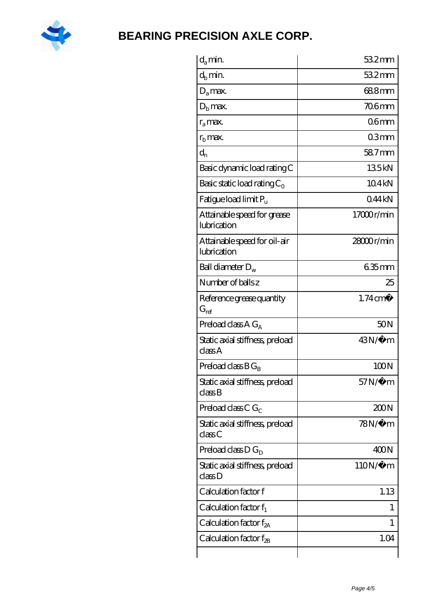

| $d_a$ min.                                  | 532mm               |
|---------------------------------------------|---------------------|
| $d_h$ min.                                  | 532mm               |
| $D_a$ max.                                  | 688mm               |
| $Dh$ max.                                   | 706mm               |
| $r_a$ max.                                  | 06mm                |
| $r_{\rm b}$ max.                            | 03mm                |
| $d_{n}$                                     | 58.7mm              |
| Basic dynamic load rating C                 | 135kN               |
| Basic static load rating $C_0$              | 104kN               |
| Fatigue load limit $P_u$                    | 044kN               |
| Attainable speed for grease<br>lubrication  | 17000r/min          |
| Attainable speed for oil-air<br>lubrication | 28000r/min          |
| Ball diameter $D_w$                         | $635$ mm            |
| Number of balls z                           | 25                  |
| Reference grease quantity<br>$G_{ref}$      | $1.74 \text{ cm}^3$ |
| Preload class A $G_A$                       | 50 <sub>N</sub>     |
| Static axial stiffness, preload<br>classA   | $43N/\mu$ m         |
| Preload class $BG_R$                        | 100N                |
| Static axial stiffness, preload<br>classB   | $57N/\mu$ m         |
| Preload class C $G_C$                       | 200N                |
| Static axial stiffness, preload<br>classC   | $78N/\mu$ m         |
| Preload class $D G_D$                       | 400N                |
| Static axial stiffness, preload<br>classD   | $110N/\mu$ m        |
| Calculation factor f                        | 1.13                |
| Calculation factor $f_1$                    | 1                   |
| Calculation factor $f_{2A}$                 | T                   |
| Calculation factor $f_{\rm 2B}$             | 1.04                |
|                                             |                     |